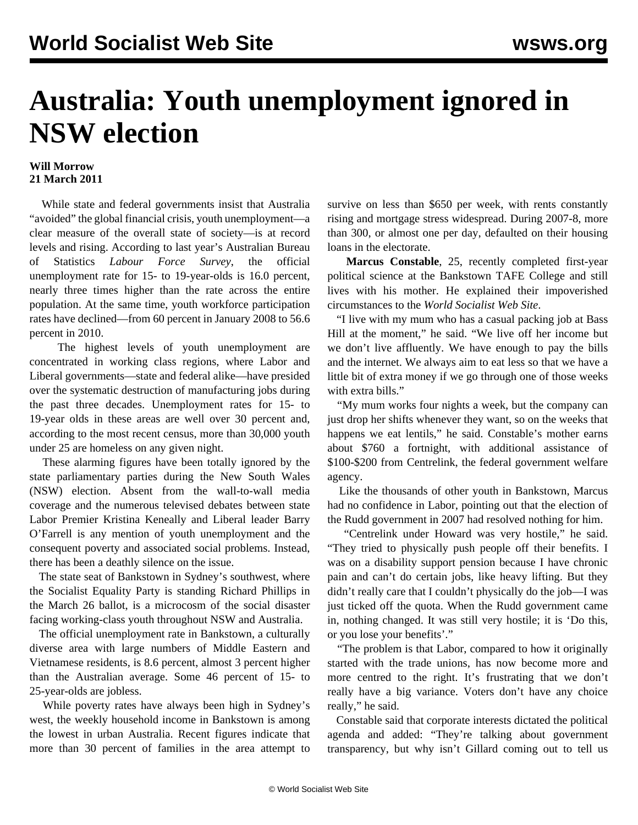## **Australia: Youth unemployment ignored in NSW election**

## **Will Morrow 21 March 2011**

 While state and federal governments insist that Australia "avoided" the global financial crisis, youth unemployment—a clear measure of the overall state of society—is at record levels and rising. According to last year's Australian Bureau of Statistics *Labour Force Survey*, the official unemployment rate for 15- to 19-year-olds is 16.0 percent, nearly three times higher than the rate across the entire population. At the same time, youth workforce participation rates have declined—from 60 percent in January 2008 to 56.6 percent in 2010.

 The highest levels of youth unemployment are concentrated in working class regions, where Labor and Liberal governments—state and federal alike—have presided over the systematic destruction of manufacturing jobs during the past three decades. Unemployment rates for 15- to 19-year olds in these areas are well over 30 percent and, according to the most recent census, more than 30,000 youth under 25 are homeless on any given night.

 These alarming figures have been totally ignored by the state parliamentary parties during the New South Wales (NSW) election. Absent from the wall-to-wall media coverage and the numerous televised debates between state Labor Premier Kristina Keneally and Liberal leader Barry O'Farrell is any mention of youth unemployment and the consequent poverty and associated social problems. Instead, there has been a deathly silence on the issue.

 The state seat of Bankstown in Sydney's southwest, where the Socialist Equality Party is standing Richard Phillips in the March 26 ballot, is a microcosm of the social disaster facing working-class youth throughout NSW and Australia.

 The official unemployment rate in Bankstown, a culturally diverse area with large numbers of Middle Eastern and Vietnamese residents, is 8.6 percent, almost 3 percent higher than the Australian average. Some 46 percent of 15- to 25-year-olds are jobless.

 While poverty rates have always been high in Sydney's west, the weekly household income in Bankstown is among the lowest in urban Australia. Recent figures indicate that more than 30 percent of families in the area attempt to survive on less than \$650 per week, with rents constantly rising and mortgage stress widespread. During 2007-8, more than 300, or almost one per day, defaulted on their housing loans in the electorate.

 **Marcus Constable**, 25, recently completed first-year political science at the Bankstown TAFE College and still lives with his mother. He explained their impoverished circumstances to the *World Socialist Web Site*.

 "I live with my mum who has a casual packing job at Bass Hill at the moment," he said. "We live off her income but we don't live affluently. We have enough to pay the bills and the internet. We always aim to eat less so that we have a little bit of extra money if we go through one of those weeks with extra bills."

 "My mum works four nights a week, but the company can just drop her shifts whenever they want, so on the weeks that happens we eat lentils," he said. Constable's mother earns about \$760 a fortnight, with additional assistance of \$100-\$200 from Centrelink, the federal government welfare agency.

 Like the thousands of other youth in Bankstown, Marcus had no confidence in Labor, pointing out that the election of the Rudd government in 2007 had resolved nothing for him.

 "Centrelink under Howard was very hostile," he said. "They tried to physically push people off their benefits. I was on a disability support pension because I have chronic pain and can't do certain jobs, like heavy lifting. But they didn't really care that I couldn't physically do the job—I was just ticked off the quota. When the Rudd government came in, nothing changed. It was still very hostile; it is 'Do this, or you lose your benefits'."

 "The problem is that Labor, compared to how it originally started with the trade unions, has now become more and more centred to the right. It's frustrating that we don't really have a big variance. Voters don't have any choice really," he said.

 Constable said that corporate interests dictated the political agenda and added: "They're talking about government transparency, but why isn't Gillard coming out to tell us